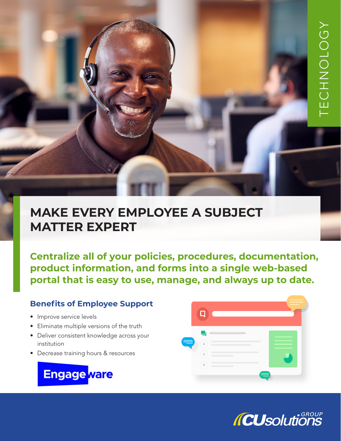# **MAKE EVERY EMPLOYEE A SUBJECT MATTER EXPERT**

**Centralize all of your policies, procedures, documentation, product information, and forms into a single web-based portal that is easy to use, manage, and always up to date.**

## **Benefits of Employee Support**

- Improve service levels
- Eliminate multiple versions of the truth
- Deliver consistent knowledge across your institution
- Decrease training hours & resources